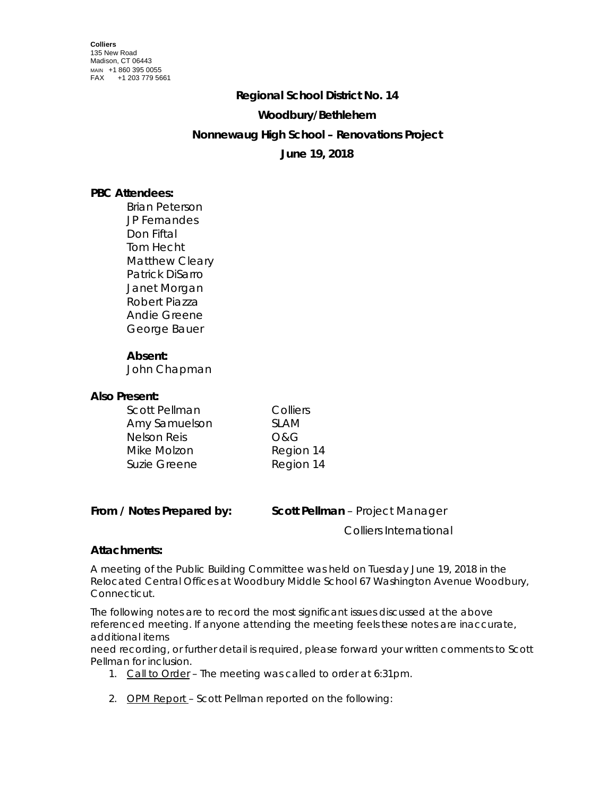# **Regional School District No. 14**

# **Woodbury/Bethlehem**

# **Nonnewaug High School – Renovations Project**

# **June 19, 2018**

# **PBC Attendees:**

Brian Peterson JP Fernandes Don Fiftal Tom Hecht Matthew Cleary Patrick DiSarro Janet Morgan Robert Piazza Andie Greene George Bauer

## **Absent:**

John Chapman

#### **Also Present:**

| Scott Pellman      | Colliers    |
|--------------------|-------------|
| Amy Samuelson      | <b>SLAM</b> |
| <b>Nelson Reis</b> | O&G         |
| Mike Molzon        | Region 14   |
| Suzie Greene       | Region 14   |

Colliers International

## **Attachments:**

A meeting of the Public Building Committee was held on Tuesday June 19, 2018 in the Relocated Central Offices at Woodbury Middle School 67 Washington Avenue Woodbury, Connecticut.

The following notes are to record the most significant issues discussed at the above referenced meeting. If anyone attending the meeting feels these notes are inaccurate, additional items

need recording, or further detail is required, please forward your written comments to Scott Pellman for inclusion.

- 1. Call to Order The meeting was called to order at 6:31pm.
- 2. OPM Report Scott Pellman reported on the following: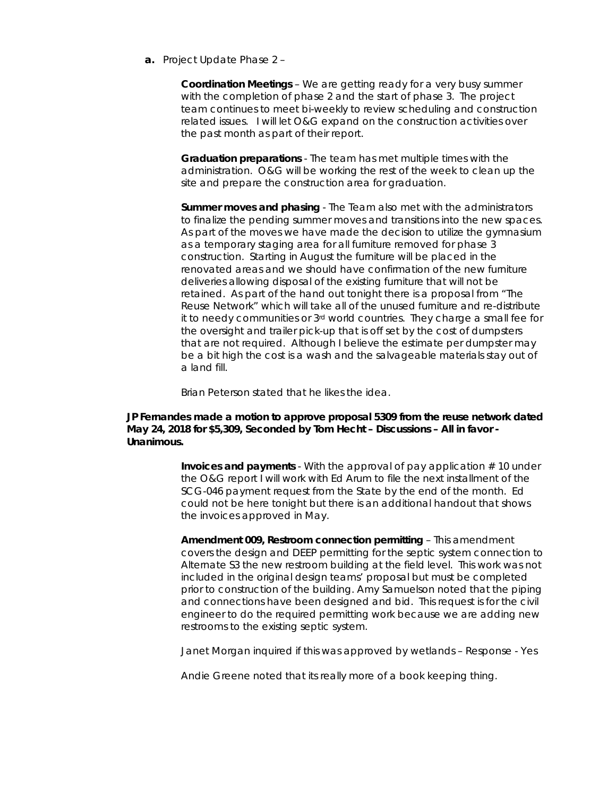**a.** Project Update Phase 2 –

**Coordination Meetings** – We are getting ready for a very busy summer with the completion of phase 2 and the start of phase 3. The project team continues to meet bi-weekly to review scheduling and construction related issues. I will let O&G expand on the construction activities over the past month as part of their report.

**Graduation preparations** - The team has met multiple times with the administration. O&G will be working the rest of the week to clean up the site and prepare the construction area for graduation.

**Summer moves and phasing** - The Team also met with the administrators to finalize the pending summer moves and transitions into the new spaces. As part of the moves we have made the decision to utilize the gymnasium as a temporary staging area for all furniture removed for phase 3 construction. Starting in August the furniture will be placed in the renovated areas and we should have confirmation of the new furniture deliveries allowing disposal of the existing furniture that will not be retained. As part of the hand out tonight there is a proposal from "The Reuse Network" which will take all of the unused furniture and re-distribute it to needy communities or 3rd world countries. They charge a small fee for the oversight and trailer pick-up that is off set by the cost of dumpsters that are not required. Although I believe the estimate per dumpster may be a bit high the cost is a wash and the salvageable materials stay out of a land fill.

Brian Peterson stated that he likes the idea.

### **JP Fernandes made a motion to approve proposal 5309 from the reuse network dated May 24, 2018 for \$5,309, Seconded by Tom Hecht – Discussions – All in favor - Unanimous.**

**Invoices and payments** - With the approval of pay application # 10 under the O&G report I will work with Ed Arum to file the next installment of the SCG-046 payment request from the State by the end of the month. Ed could not be here tonight but there is an additional handout that shows the invoices approved in May.

**Amendment 009, Restroom connection permitting** – This amendment covers the design and DEEP permitting for the septic system connection to Alternate S3 the new restroom building at the field level. This work was not included in the original design teams' proposal but must be completed prior to construction of the building. Amy Samuelson noted that the piping and connections have been designed and bid. This request is for the civil engineer to do the required permitting work because we are adding new restrooms to the existing septic system.

Janet Morgan inquired if this was approved by wetlands – Response - Yes

Andie Greene noted that its really more of a book keeping thing.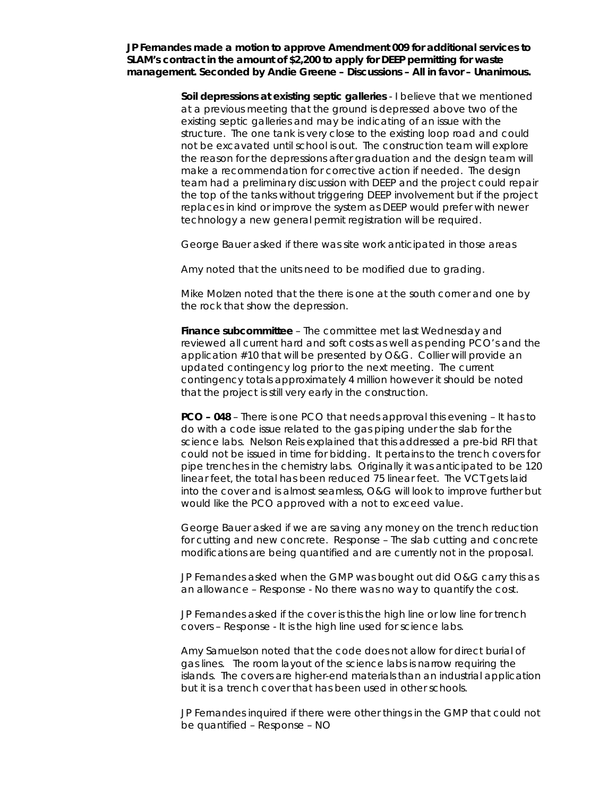**JP Fernandes made a motion to approve Amendment 009 for additional services to SLAM's contract in the amount of \$2,200 to apply for DEEP permitting for waste management. Seconded by Andie Greene – Discussions – All in favor – Unanimous.**

> **Soil depressions at existing septic galleries** - I believe that we mentioned at a previous meeting that the ground is depressed above two of the existing septic galleries and may be indicating of an issue with the structure. The one tank is very close to the existing loop road and could not be excavated until school is out. The construction team will explore the reason for the depressions after graduation and the design team will make a recommendation for corrective action if needed. The design team had a preliminary discussion with DEEP and the project could repair the top of the tanks without triggering DEEP involvement but if the project replaces in kind or improve the system as DEEP would prefer with newer technology a new general permit registration will be required.

George Bauer asked if there was site work anticipated in those areas

Amy noted that the units need to be modified due to grading.

Mike Molzen noted that the there is one at the south corner and one by the rock that show the depression.

**Finance subcommittee** – The committee met last Wednesday and reviewed all current hard and soft costs as well as pending PCO's and the application #10 that will be presented by O&G. Collier will provide an updated contingency log prior to the next meeting. The current contingency totals approximately 4 million however it should be noted that the project is still very early in the construction.

**PCO – 048** – There is one PCO that needs approval this evening – It has to do with a code issue related to the gas piping under the slab for the science labs. Nelson Reis explained that this addressed a pre-bid RFI that could not be issued in time for bidding. It pertains to the trench covers for pipe trenches in the chemistry labs. Originally it was anticipated to be 120 linear feet, the total has been reduced 75 linear feet. The VCT gets laid into the cover and is almost seamless, O&G will look to improve further but would like the PCO approved with a not to exceed value.

George Bauer asked if we are saving any money on the trench reduction for cutting and new concrete. Response – The slab cutting and concrete modifications are being quantified and are currently not in the proposal.

JP Fernandes asked when the GMP was bought out did O&G carry this as an allowance – Response - No there was no way to quantify the cost.

JP Fernandes asked if the cover is this the high line or low line for trench covers – Response - It is the high line used for science labs.

Amy Samuelson noted that the code does not allow for direct burial of gas lines. The room layout of the science labs is narrow requiring the islands. The covers are higher-end materials than an industrial application but it is a trench cover that has been used in other schools.

JP Fernandes inquired if there were other things in the GMP that could not be quantified – Response – NO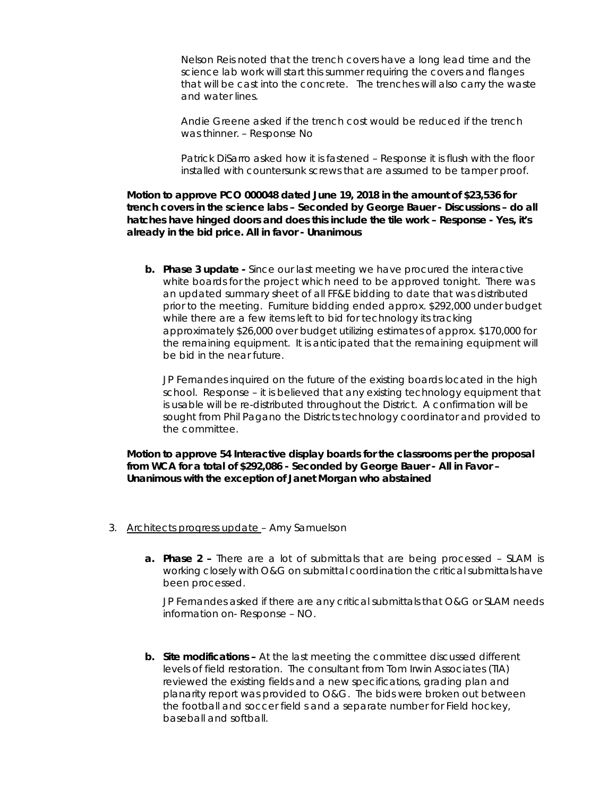Nelson Reis noted that the trench covers have a long lead time and the science lab work will start this summer requiring the covers and flanges that will be cast into the concrete. The trenches will also carry the waste and water lines.

Andie Greene asked if the trench cost would be reduced if the trench was thinner. – Response No

Patrick DiSarro asked how it is fastened – Response it is flush with the floor installed with countersunk screws that are assumed to be tamper proof.

**Motion to approve PCO 000048 dated June 19, 2018 in the amount of \$23,536 for trench covers in the science labs – Seconded by George Bauer - Discussions – do all hatches have hinged doors and does this include the tile work – Response - Yes, it's already in the bid price. All in favor - Unanimous**

**b. Phase 3 update -** Since our last meeting we have procured the interactive white boards for the project which need to be approved tonight. There was an updated summary sheet of all FF&E bidding to date that was distributed prior to the meeting. Furniture bidding ended approx. \$292,000 under budget while there are a few items left to bid for technology its tracking approximately \$26,000 over budget utilizing estimates of approx. \$170,000 for the remaining equipment. It is anticipated that the remaining equipment will be bid in the near future.

JP Fernandes inquired on the future of the existing boards located in the high school. Response – it is believed that any existing technology equipment that is usable will be re-distributed throughout the District. A confirmation will be sought from Phil Pagano the Districts technology coordinator and provided to the committee.

**Motion to approve 54 Interactive display boards for the classrooms per the proposal from WCA for a total of \$292,086 - Seconded by George Bauer - All in Favor – Unanimous with the exception of Janet Morgan who abstained** 

- 3. Architects progress update Amy Samuelson
	- **a. Phase 2 –** There are a lot of submittals that are being processed SLAM is working closely with O&G on submittal coordination the critical submittals have been processed.

JP Fernandes asked if there are any critical submittals that O&G or SLAM needs information on- Response – NO.

**b. Site modifications –** At the last meeting the committee discussed different levels of field restoration. The consultant from Tom Irwin Associates (TIA) reviewed the existing fields and a new specifications, grading plan and planarity report was provided to O&G. The bids were broken out between the football and soccer field s and a separate number for Field hockey, baseball and softball.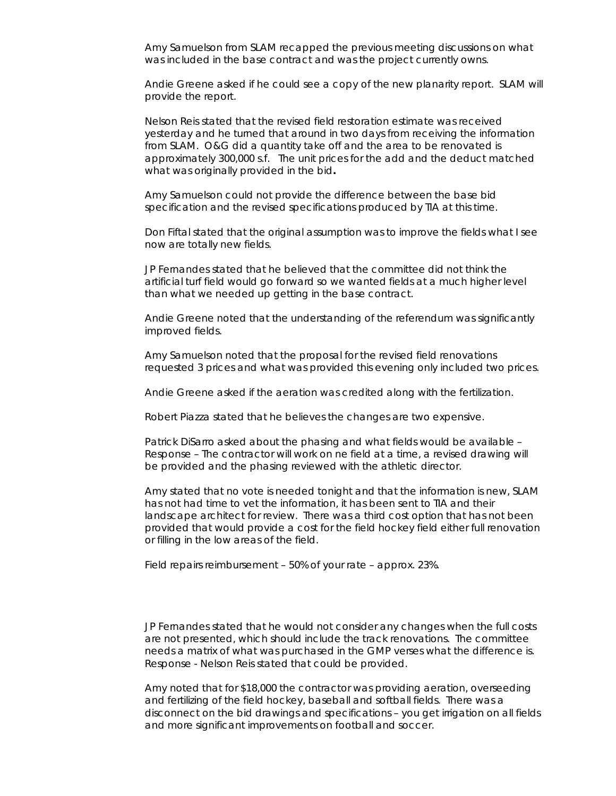Amy Samuelson from SLAM recapped the previous meeting discussions on what was included in the base contract and was the project currently owns.

Andie Greene asked if he could see a copy of the new planarity report. SLAM will provide the report.

Nelson Reis stated that the revised field restoration estimate was received yesterday and he turned that around in two days from receiving the information from SLAM. O&G did a quantity take off and the area to be renovated is approximately 300,000 s.f. The unit prices for the add and the deduct matched what was originally provided in the bid**.** 

Amy Samuelson could not provide the difference between the base bid specification and the revised specifications produced by TIA at this time.

Don Fiftal stated that the original assumption was to improve the fields what I see now are totally new fields.

JP Fernandes stated that he believed that the committee did not think the artificial turf field would go forward so we wanted fields at a much higher level than what we needed up getting in the base contract.

Andie Greene noted that the understanding of the referendum was significantly improved fields.

Amy Samuelson noted that the proposal for the revised field renovations requested 3 prices and what was provided this evening only included two prices.

Andie Greene asked if the aeration was credited along with the fertilization.

Robert Piazza stated that he believes the changes are two expensive.

Patrick DiSarro asked about the phasing and what fields would be available – Response – The contractor will work on ne field at a time, a revised drawing will be provided and the phasing reviewed with the athletic director.

Amy stated that no vote is needed tonight and that the information is new, SLAM has not had time to vet the information, it has been sent to TIA and their landscape architect for review. There was a third cost option that has not been provided that would provide a cost for the field hockey field either full renovation or filling in the low areas of the field.

Field repairs reimbursement – 50% of your rate – approx. 23%.

JP Fernandes stated that he would not consider any changes when the full costs are not presented, which should include the track renovations. The committee needs a matrix of what was purchased in the GMP verses what the difference is. Response - Nelson Reis stated that could be provided.

Amy noted that for \$18,000 the contractor was providing aeration, overseeding and fertilizing of the field hockey, baseball and softball fields. There was a disconnect on the bid drawings and specifications – you get irrigation on all fields and more significant improvements on football and soccer.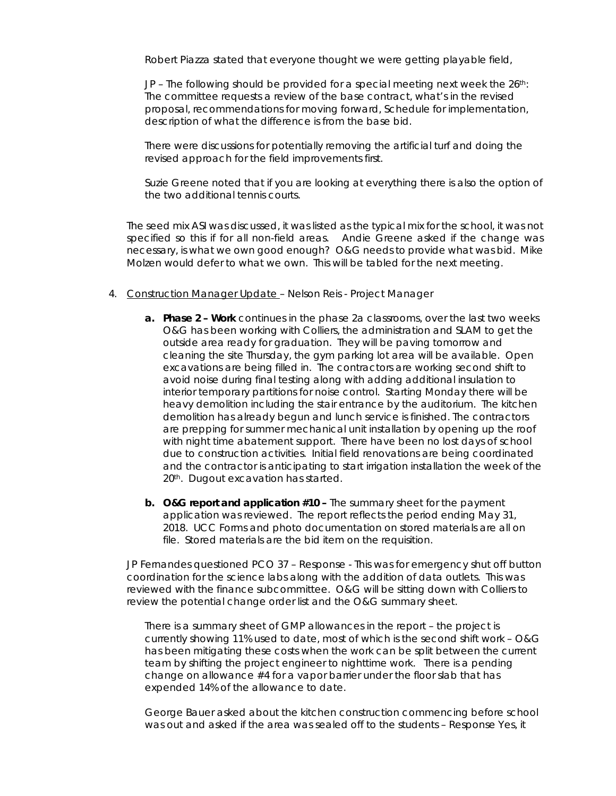Robert Piazza stated that everyone thought we were getting playable field,

JP – The following should be provided for a special meeting next week the 26th: The committee requests a review of the base contract, what's in the revised proposal, recommendations for moving forward, Schedule for implementation, description of what the difference is from the base bid.

There were discussions for potentially removing the artificial turf and doing the revised approach for the field improvements first.

Suzie Greene noted that if you are looking at everything there is also the option of the two additional tennis courts.

The seed mix ASI was discussed, it was listed as the typical mix for the school, it was not specified so this if for all non-field areas. Andie Greene asked if the change was necessary, is what we own good enough? O&G needs to provide what was bid. Mike Molzen would defer to what we own. This will be tabled for the next meeting.

- 4. Construction Manager Update Nelson Reis Project Manager
	- **a. Phase 2 – Work** continues in the phase 2a classrooms, over the last two weeks O&G has been working with Colliers, the administration and SLAM to get the outside area ready for graduation. They will be paving tomorrow and cleaning the site Thursday, the gym parking lot area will be available. Open excavations are being filled in. The contractors are working second shift to avoid noise during final testing along with adding additional insulation to interior temporary partitions for noise control. Starting Monday there will be heavy demolition including the stair entrance by the auditorium. The kitchen demolition has already begun and lunch service is finished. The contractors are prepping for summer mechanical unit installation by opening up the roof with night time abatement support. There have been no lost days of school due to construction activities. Initial field renovations are being coordinated and the contractor is anticipating to start irrigation installation the week of the 20<sup>th</sup>. Dugout excavation has started.
	- **b. O&G report and application #10 –** The summary sheet for the payment application was reviewed. The report reflects the period ending May 31, 2018. UCC Forms and photo documentation on stored materials are all on file. Stored materials are the bid item on the requisition.

JP Fernandes questioned PCO 37 – Response - This was for emergency shut off button coordination for the science labs along with the addition of data outlets. This was reviewed with the finance subcommittee. O&G will be sitting down with Colliers to review the potential change order list and the O&G summary sheet.

There is a summary sheet of GMP allowances in the report – the project is currently showing 11% used to date, most of which is the second shift work – O&G has been mitigating these costs when the work can be split between the current team by shifting the project engineer to nighttime work. There is a pending change on allowance #4 for a vapor barrier under the floor slab that has expended 14% of the allowance to date.

George Bauer asked about the kitchen construction commencing before school was out and asked if the area was sealed off to the students – Response Yes, it